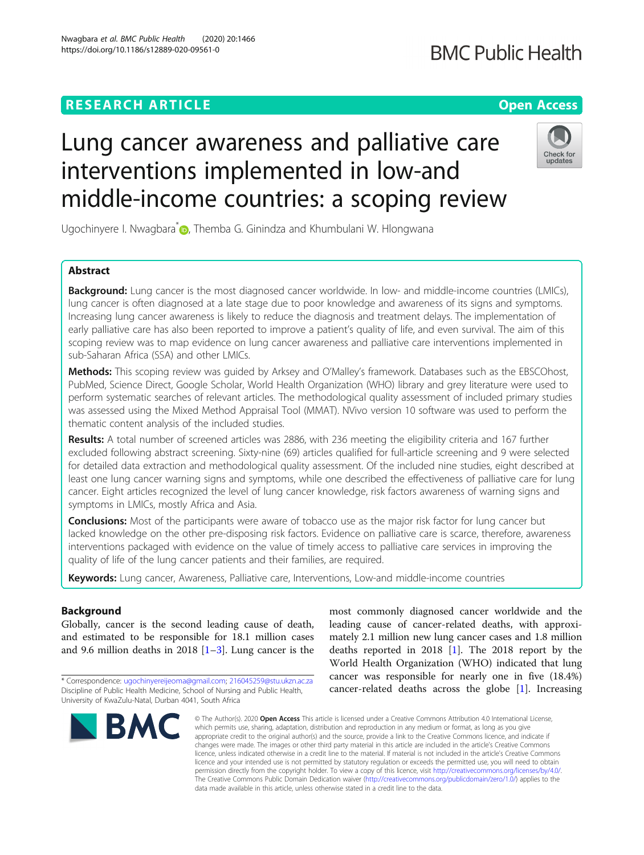## **RESEARCH ARTICLE Example 2014 12:30 The Contract of Contract ACCESS**

# Lung cancer awareness and palliative care interventions implemented in low-and middle-income countries: a scoping review

Ugochinyere I. Nwagbara<sup>\*</sup> [,](http://orcid.org/0000-0003-1771-0570) Themba G. Ginindza and Khumbulani W. Hlongwana

### Abstract

**Background:** Lung cancer is the most diagnosed cancer worldwide. In low- and middle-income countries (LMICs), lung cancer is often diagnosed at a late stage due to poor knowledge and awareness of its signs and symptoms. Increasing lung cancer awareness is likely to reduce the diagnosis and treatment delays. The implementation of early palliative care has also been reported to improve a patient's quality of life, and even survival. The aim of this scoping review was to map evidence on lung cancer awareness and palliative care interventions implemented in sub-Saharan Africa (SSA) and other LMICs.

Methods: This scoping review was guided by Arksey and O'Malley's framework. Databases such as the EBSCOhost, PubMed, Science Direct, Google Scholar, World Health Organization (WHO) library and grey literature were used to perform systematic searches of relevant articles. The methodological quality assessment of included primary studies was assessed using the Mixed Method Appraisal Tool (MMAT). NVivo version 10 software was used to perform the thematic content analysis of the included studies.

Results: A total number of screened articles was 2886, with 236 meeting the eligibility criteria and 167 further excluded following abstract screening. Sixty-nine (69) articles qualified for full-article screening and 9 were selected for detailed data extraction and methodological quality assessment. Of the included nine studies, eight described at least one lung cancer warning signs and symptoms, while one described the effectiveness of palliative care for lung cancer. Eight articles recognized the level of lung cancer knowledge, risk factors awareness of warning signs and symptoms in LMICs, mostly Africa and Asia.

**Conclusions:** Most of the participants were aware of tobacco use as the major risk factor for lung cancer but lacked knowledge on the other pre-disposing risk factors. Evidence on palliative care is scarce, therefore, awareness interventions packaged with evidence on the value of timely access to palliative care services in improving the quality of life of the lung cancer patients and their families, are required.

Keywords: Lung cancer, Awareness, Palliative care, Interventions, Low-and middle-income countries

#### Background

Globally, cancer is the second leading cause of death, and estimated to be responsible for 18.1 million cases and 9.6 million deaths in 2018 [\[1](#page-8-0)–[3](#page-8-0)]. Lung cancer is the

**BMC** 

most commonly diagnosed cancer worldwide and the leading cause of cancer-related deaths, with approximately 2.1 million new lung cancer cases and 1.8 million deaths reported in 2018 [\[1\]](#page-8-0). The 2018 report by the World Health Organization (WHO) indicated that lung cancer was responsible for nearly one in five (18.4%)

cancer-related deaths across the globe [[1\]](#page-8-0). Increasing

© The Author(s), 2020 **Open Access** This article is licensed under a Creative Commons Attribution 4.0 International License, which permits use, sharing, adaptation, distribution and reproduction in any medium or format, as long as you give appropriate credit to the original author(s) and the source, provide a link to the Creative Commons licence, and indicate if changes were made. The images or other third party material in this article are included in the article's Creative Commons licence, unless indicated otherwise in a credit line to the material. If material is not included in the article's Creative Commons licence and your intended use is not permitted by statutory regulation or exceeds the permitted use, you will need to obtain permission directly from the copyright holder. To view a copy of this licence, visit [http://creativecommons.org/licenses/by/4.0/.](http://creativecommons.org/licenses/by/4.0/) The Creative Commons Public Domain Dedication waiver [\(http://creativecommons.org/publicdomain/zero/1.0/](http://creativecommons.org/publicdomain/zero/1.0/)) applies to the data made available in this article, unless otherwise stated in a credit line to the data.

\* Correspondence: [ugochinyereijeoma@gmail.com;](mailto:ugochinyereijeoma@gmail.com) [216045259@stu.ukzn.ac.za](mailto:216045259@stu.ukzn.ac.za) University of KwaZulu-Natal, Durban 4041, South Africa





Discipline of Public Health Medicine, School of Nursing and Public Health,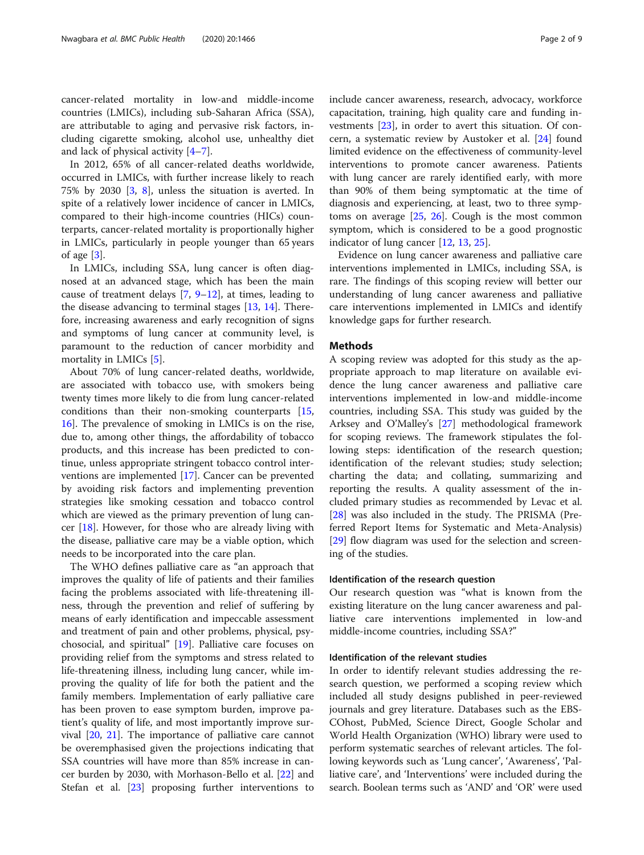cancer-related mortality in low-and middle-income countries (LMICs), including sub-Saharan Africa (SSA), are attributable to aging and pervasive risk factors, including cigarette smoking, alcohol use, unhealthy diet and lack of physical activity [[4](#page-8-0)–[7](#page-8-0)].

In 2012, 65% of all cancer-related deaths worldwide, occurred in LMICs, with further increase likely to reach 75% by 2030 [[3,](#page-8-0) [8](#page-8-0)], unless the situation is averted. In spite of a relatively lower incidence of cancer in LMICs, compared to their high-income countries (HICs) counterparts, cancer-related mortality is proportionally higher in LMICs, particularly in people younger than 65 years of age [\[3](#page-8-0)].

In LMICs, including SSA, lung cancer is often diagnosed at an advanced stage, which has been the main cause of treatment delays [[7,](#page-8-0) [9](#page-8-0)–[12](#page-8-0)], at times, leading to the disease advancing to terminal stages [[13,](#page-8-0) [14\]](#page-8-0). Therefore, increasing awareness and early recognition of signs and symptoms of lung cancer at community level, is paramount to the reduction of cancer morbidity and mortality in LMICs [\[5](#page-8-0)].

About 70% of lung cancer-related deaths, worldwide, are associated with tobacco use, with smokers being twenty times more likely to die from lung cancer-related conditions than their non-smoking counterparts [[15](#page-8-0), [16\]](#page-8-0). The prevalence of smoking in LMICs is on the rise, due to, among other things, the affordability of tobacco products, and this increase has been predicted to continue, unless appropriate stringent tobacco control interventions are implemented [[17\]](#page-8-0). Cancer can be prevented by avoiding risk factors and implementing prevention strategies like smoking cessation and tobacco control which are viewed as the primary prevention of lung cancer  $[18]$  $[18]$ . However, for those who are already living with the disease, palliative care may be a viable option, which needs to be incorporated into the care plan.

The WHO defines palliative care as "an approach that improves the quality of life of patients and their families facing the problems associated with life-threatening illness, through the prevention and relief of suffering by means of early identification and impeccable assessment and treatment of pain and other problems, physical, psychosocial, and spiritual" [\[19](#page-8-0)]. Palliative care focuses on providing relief from the symptoms and stress related to life-threatening illness, including lung cancer, while improving the quality of life for both the patient and the family members. Implementation of early palliative care has been proven to ease symptom burden, improve patient's quality of life, and most importantly improve survival [[20](#page-8-0), [21](#page-8-0)]. The importance of palliative care cannot be overemphasised given the projections indicating that SSA countries will have more than 85% increase in cancer burden by 2030, with Morhason-Bello et al. [\[22](#page-8-0)] and Stefan et al. [[23\]](#page-8-0) proposing further interventions to include cancer awareness, research, advocacy, workforce capacitation, training, high quality care and funding investments [[23](#page-8-0)], in order to avert this situation. Of concern, a systematic review by Austoker et al. [[24](#page-8-0)] found limited evidence on the effectiveness of community-level interventions to promote cancer awareness. Patients with lung cancer are rarely identified early, with more than 90% of them being symptomatic at the time of diagnosis and experiencing, at least, two to three symptoms on average  $[25, 26]$  $[25, 26]$  $[25, 26]$  $[25, 26]$ . Cough is the most common symptom, which is considered to be a good prognostic indicator of lung cancer [[12,](#page-8-0) [13,](#page-8-0) [25](#page-8-0)].

Evidence on lung cancer awareness and palliative care interventions implemented in LMICs, including SSA, is rare. The findings of this scoping review will better our understanding of lung cancer awareness and palliative care interventions implemented in LMICs and identify knowledge gaps for further research.

#### Methods

A scoping review was adopted for this study as the appropriate approach to map literature on available evidence the lung cancer awareness and palliative care interventions implemented in low-and middle-income countries, including SSA. This study was guided by the Arksey and O'Malley's [[27\]](#page-8-0) methodological framework for scoping reviews. The framework stipulates the following steps: identification of the research question; identification of the relevant studies; study selection; charting the data; and collating, summarizing and reporting the results. A quality assessment of the included primary studies as recommended by Levac et al. [[28\]](#page-8-0) was also included in the study. The PRISMA (Preferred Report Items for Systematic and Meta-Analysis) [[29\]](#page-8-0) flow diagram was used for the selection and screening of the studies.

#### Identification of the research question

Our research question was "what is known from the existing literature on the lung cancer awareness and palliative care interventions implemented in low-and middle-income countries, including SSA?"

#### Identification of the relevant studies

In order to identify relevant studies addressing the research question, we performed a scoping review which included all study designs published in peer-reviewed journals and grey literature. Databases such as the EBS-COhost, PubMed, Science Direct, Google Scholar and World Health Organization (WHO) library were used to perform systematic searches of relevant articles. The following keywords such as 'Lung cancer', 'Awareness', 'Palliative care', and 'Interventions' were included during the search. Boolean terms such as 'AND' and 'OR' were used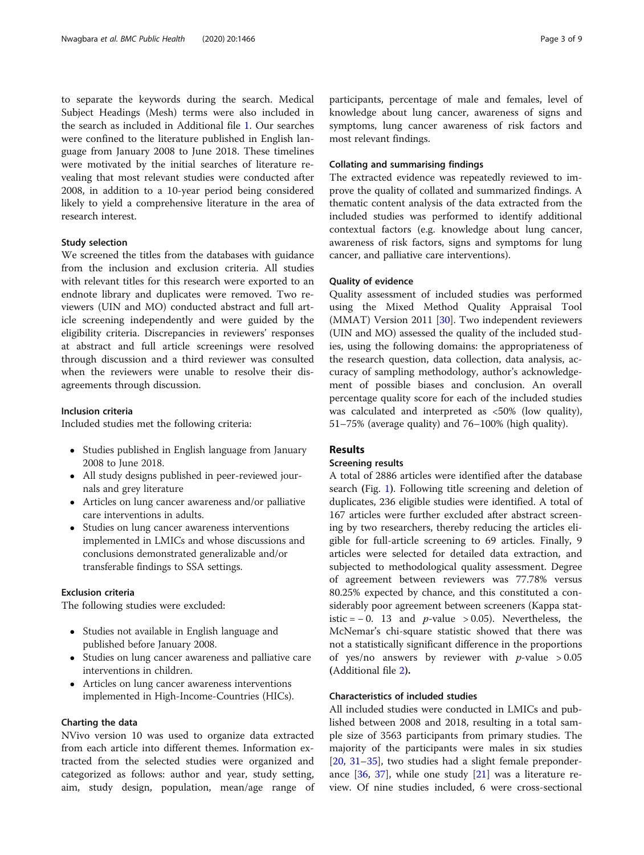to separate the keywords during the search. Medical Subject Headings (Mesh) terms were also included in the search as included in Additional file [1.](#page-7-0) Our searches were confined to the literature published in English language from January 2008 to June 2018. These timelines were motivated by the initial searches of literature revealing that most relevant studies were conducted after 2008, in addition to a 10-year period being considered likely to yield a comprehensive literature in the area of research interest.

#### Study selection

We screened the titles from the databases with guidance from the inclusion and exclusion criteria. All studies with relevant titles for this research were exported to an endnote library and duplicates were removed. Two reviewers (UIN and MO) conducted abstract and full article screening independently and were guided by the eligibility criteria. Discrepancies in reviewers' responses at abstract and full article screenings were resolved through discussion and a third reviewer was consulted when the reviewers were unable to resolve their disagreements through discussion.

#### Inclusion criteria

Included studies met the following criteria:

- Studies published in English language from January 2008 to June 2018.
- All study designs published in peer-reviewed journals and grey literature
- Articles on lung cancer awareness and/or palliative care interventions in adults.
- Studies on lung cancer awareness interventions implemented in LMICs and whose discussions and conclusions demonstrated generalizable and/or transferable findings to SSA settings.

#### Exclusion criteria

The following studies were excluded:

- Studies not available in English language and published before January 2008.
- Studies on lung cancer awareness and palliative care interventions in children.
- Articles on lung cancer awareness interventions implemented in High-Income-Countries (HICs).

#### Charting the data

NVivo version 10 was used to organize data extracted from each article into different themes. Information extracted from the selected studies were organized and categorized as follows: author and year, study setting, aim, study design, population, mean/age range of

participants, percentage of male and females, level of knowledge about lung cancer, awareness of signs and symptoms, lung cancer awareness of risk factors and most relevant findings.

#### Collating and summarising findings

The extracted evidence was repeatedly reviewed to improve the quality of collated and summarized findings. A thematic content analysis of the data extracted from the included studies was performed to identify additional contextual factors (e.g. knowledge about lung cancer, awareness of risk factors, signs and symptoms for lung cancer, and palliative care interventions).

#### Quality of evidence

Quality assessment of included studies was performed using the Mixed Method Quality Appraisal Tool (MMAT) Version 2011 [[30](#page-8-0)]. Two independent reviewers (UIN and MO) assessed the quality of the included studies, using the following domains: the appropriateness of the research question, data collection, data analysis, accuracy of sampling methodology, author's acknowledgement of possible biases and conclusion. An overall percentage quality score for each of the included studies was calculated and interpreted as <50% (low quality), 51–75% (average quality) and 76–100% (high quality).

#### Results

#### Screening results

A total of 2886 articles were identified after the database search (Fig. [1](#page-3-0)). Following title screening and deletion of duplicates, 236 eligible studies were identified. A total of 167 articles were further excluded after abstract screening by two researchers, thereby reducing the articles eligible for full-article screening to 69 articles. Finally, 9 articles were selected for detailed data extraction, and subjected to methodological quality assessment. Degree of agreement between reviewers was 77.78% versus 80.25% expected by chance, and this constituted a considerably poor agreement between screeners (Kappa statistic = − 0. 13 and p-value > 0.05). Nevertheless, the McNemar's chi-square statistic showed that there was not a statistically significant difference in the proportions of yes/no answers by reviewer with *p*-value  $> 0.05$ (Additional file [2](#page-7-0)).

#### Characteristics of included studies

All included studies were conducted in LMICs and published between 2008 and 2018, resulting in a total sample size of 3563 participants from primary studies. The majority of the participants were males in six studies [[20,](#page-8-0) [31](#page-8-0)–[35](#page-8-0)], two studies had a slight female preponderance  $[36, 37]$  $[36, 37]$  $[36, 37]$  $[36, 37]$ , while one study  $[21]$  $[21]$  was a literature review. Of nine studies included, 6 were cross-sectional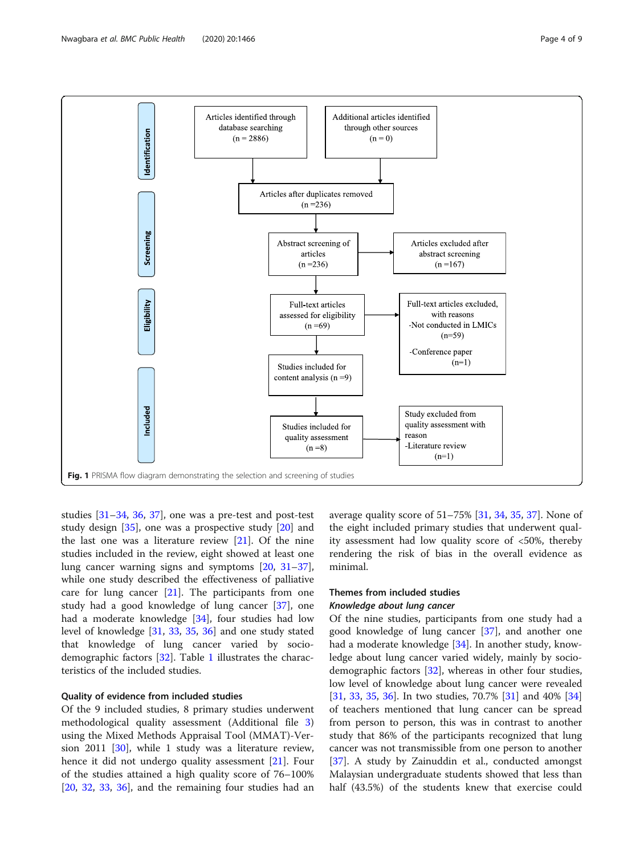<span id="page-3-0"></span>

studies [[31](#page-8-0)–[34](#page-8-0), [36,](#page-8-0) [37](#page-8-0)], one was a pre-test and post-test study design [\[35](#page-8-0)], one was a prospective study [[20\]](#page-8-0) and the last one was a literature review [\[21](#page-8-0)]. Of the nine studies included in the review, eight showed at least one lung cancer warning signs and symptoms [[20,](#page-8-0) [31](#page-8-0)–[37](#page-8-0)], while one study described the effectiveness of palliative care for lung cancer [[21\]](#page-8-0). The participants from one study had a good knowledge of lung cancer [[37\]](#page-8-0), one had a moderate knowledge [[34\]](#page-8-0), four studies had low level of knowledge [[31](#page-8-0), [33,](#page-8-0) [35](#page-8-0), [36](#page-8-0)] and one study stated that knowledge of lung cancer varied by sociodemographic factors [\[32](#page-8-0)]. Table [1](#page-4-0) illustrates the characteristics of the included studies.

#### Quality of evidence from included studies

Of the 9 included studies, 8 primary studies underwent methodological quality assessment (Additional file [3](#page-7-0)) using the Mixed Methods Appraisal Tool (MMAT)-Version 2011 [\[30](#page-8-0)], while 1 study was a literature review, hence it did not undergo quality assessment [[21\]](#page-8-0). Four of the studies attained a high quality score of 76–100% [[20,](#page-8-0) [32,](#page-8-0) [33,](#page-8-0) [36\]](#page-8-0), and the remaining four studies had an average quality score of 51–75% [\[31](#page-8-0), [34](#page-8-0), [35](#page-8-0), [37\]](#page-8-0). None of the eight included primary studies that underwent quality assessment had low quality score of <50%, thereby rendering the risk of bias in the overall evidence as minimal.

#### Themes from included studies Knowledge about lung cancer

Of the nine studies, participants from one study had a good knowledge of lung cancer [[37\]](#page-8-0), and another one had a moderate knowledge [\[34](#page-8-0)]. In another study, knowledge about lung cancer varied widely, mainly by sociodemographic factors [[32](#page-8-0)], whereas in other four studies, low level of knowledge about lung cancer were revealed [[31,](#page-8-0) [33](#page-8-0), [35](#page-8-0), [36\]](#page-8-0). In two studies, 70.7% [\[31](#page-8-0)] and 40% [[34](#page-8-0)] of teachers mentioned that lung cancer can be spread from person to person, this was in contrast to another study that 86% of the participants recognized that lung cancer was not transmissible from one person to another [[37\]](#page-8-0). A study by Zainuddin et al., conducted amongst Malaysian undergraduate students showed that less than half (43.5%) of the students knew that exercise could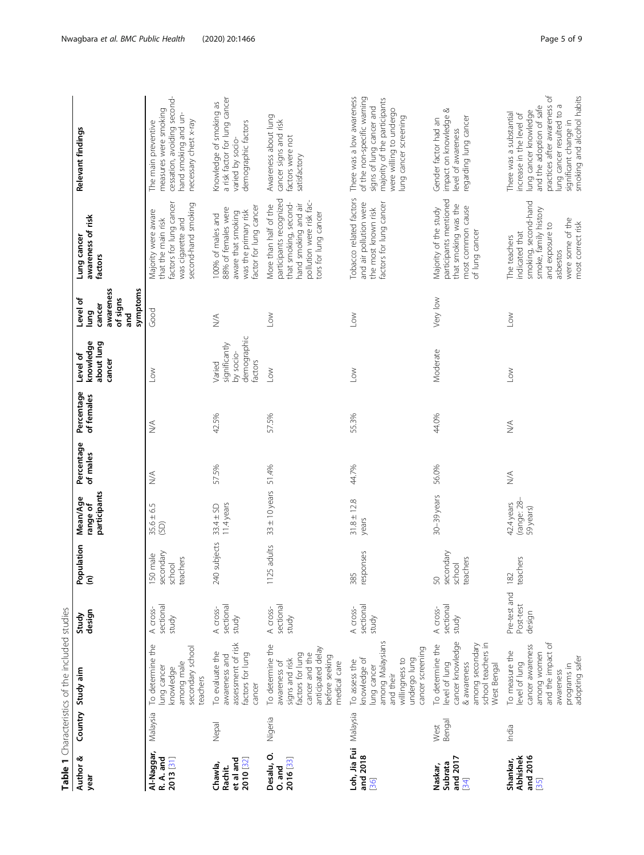<span id="page-4-0"></span>

|                                                 |                | Table 1 Characteristics of the included studies                                                                                                 |                                     |                                                |                                        |                        |                          |                                                                |                                                                             |                                                                                                                                                        |                                                                                                                                                                                                                              |
|-------------------------------------------------|----------------|-------------------------------------------------------------------------------------------------------------------------------------------------|-------------------------------------|------------------------------------------------|----------------------------------------|------------------------|--------------------------|----------------------------------------------------------------|-----------------------------------------------------------------------------|--------------------------------------------------------------------------------------------------------------------------------------------------------|------------------------------------------------------------------------------------------------------------------------------------------------------------------------------------------------------------------------------|
| Author &<br>year                                |                | Country Study aim                                                                                                                               | design<br>Study                     | Population<br>(n)                              | participants<br>Mean/Age<br>range of   | Percentage<br>of males | Percentage<br>of females | knowledge<br>about lung<br>Level of<br>cancer                  | awareness<br>symptoms<br>of signs<br>Level of<br>cancer<br>lung<br>pa<br>an | awareness of risk<br>Lung cancer<br>factors                                                                                                            | Relevant findings                                                                                                                                                                                                            |
| Al-Naggar,<br>R. A. and<br>2013 [31]            | Malaysia       | To determine the<br>secondary school<br>among male<br>lung cancer<br>knowledge<br>teachers                                                      | sectional<br>A cross-<br>study      | secondary<br>male<br>teachers<br>school<br>150 | $35.6 \pm 6.5$<br>(SD)                 | $\frac{1}{2}$          | $\frac{1}{2}$            | $\geq$                                                         | Good                                                                        | factors for lung cancer<br>second-hand smoking<br>Majority were aware<br>was cigarette and<br>that the main risk                                       | cessation, avoiding second-<br>measures were smoking<br>hand smoking and un-<br>necessary chest x-ray<br>The main preventive                                                                                                 |
| 2010 [32]<br>et al and<br>Chawla,<br>Rachit.    | Nepal          | assessment of risk<br>To evaluate the<br>factors for lung<br>awareness and<br>cancer                                                            | sectional<br>A cross-<br>study      | subjects<br>240                                | 11.4 years<br>$33.4 \pm SD$            | 57.5%                  | 42.5%                    | demographic<br>significantly<br>by socio-<br>factors<br>Varied | $\stackrel{\triangle}{\geq}$                                                | factor for lung cancer<br>88% of females were<br>was the primary risk<br>aware that smoking<br>100% of males and                                       | a risk factor for lung cancer<br>Knowledge of smoking as<br>demographic factors<br>varied by socio-                                                                                                                          |
| Desalu, O.<br>2016 [33]<br>$0.$ and             | Nigeria        | To determine the<br>anticipated delay<br>cancer and the<br>factors for lung<br>before seeking<br>signs and risk<br>awareness of<br>medical care | sectional<br>A cross-<br>study      | 5 adults<br>112                                | $33 \pm 10$ years                      | 51.4%                  | 57.5%                    | <b>NOT</b>                                                     | $\sim$                                                                      | participants recognized<br>pollution were risk fac-<br>that smoking, second-<br>hand smoking and air<br>More than half of the<br>tors for lung cancer  | Awareness about lung<br>cancer signs and risk<br>factors were not<br>satisfactory                                                                                                                                            |
| Loh, Jia Fui Malaysia<br>and 2018<br>[36]       |                | among Malaysians<br>cancer screening<br>knowledge of<br>willingness to<br>undergo lung<br>To assess the<br>lung cancer<br>and their             | sectional<br>A cross-<br>study      | responses<br>385                               | $31.8 \pm 12.8$<br>years               | 44.7%                  | 55.3%                    | $\leq$                                                         | $\sim$                                                                      | Tobacco related factors<br>factors for lung cancer<br>and air pollution were<br>the most known risk                                                    | There was a low awareness<br>of the non-specific warning<br>majority of the participants<br>signs of lung cancer and<br>were willing to undergo<br>lung cancer screening                                                     |
| and 2017<br>Subrata<br>Naskar,<br>34            | Bengal<br>West | cancer knowledge<br>school teachers in<br>To determine the<br>among secondary<br>West Bengal<br>level of lung<br>& awareness                    | sectional<br>A cross-<br>study      | secondary<br>teachers<br>school<br>50          | 30-39 years                            | 56.0%                  | 44.0%                    | Moderate                                                       | Very low                                                                    | participants mentioned<br>that smoking was the<br>most common cause<br>Majority of the study<br>of lung cancer                                         | impact on knowledge &<br>regarding lung cancer<br>Gender factor had an<br>level of awareness                                                                                                                                 |
| <b>Abhishek</b><br>and 2016<br>Shankar,<br>[35] | India          | and the impact of<br>cancer awareness<br>To measure the<br>among women<br>adopting safer<br>level of lung<br>programs in<br>awareness           | Pre-test and<br>Post-test<br>design | teachers<br>182                                | (range: 28-<br>42.4 years<br>59 years) | $\lessapprox$          | $\lessapprox$            | <b>NOT</b>                                                     | $\sim$                                                                      | smoking, second-hand<br>smoke, family history<br>were some of the<br>most correct risk<br>and exposure to<br>ndicated that<br>The teachers<br>asbestos | practices after awareness of<br>smoking and alcohol habits<br>lung cancer resulted to a<br>and the adoption of safe<br>lung cancer knowledge<br>There was a substantial<br>increase in the level of<br>significant change in |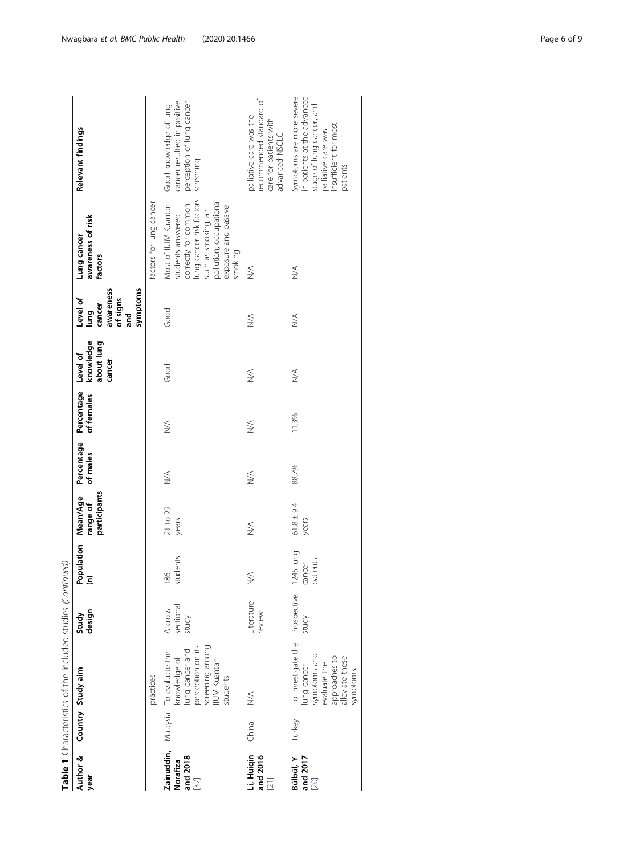|                                              |        | Table 1 Characteristics of the included studies (Continued)                                                                     |                                |                                      |                                      |                                  |                          |                                               |                                                                        |                                                                                                                                                                                     |                                                                                                                                                  |
|----------------------------------------------|--------|---------------------------------------------------------------------------------------------------------------------------------|--------------------------------|--------------------------------------|--------------------------------------|----------------------------------|--------------------------|-----------------------------------------------|------------------------------------------------------------------------|-------------------------------------------------------------------------------------------------------------------------------------------------------------------------------------|--------------------------------------------------------------------------------------------------------------------------------------------------|
| Author &<br>year                             |        | Country Study aim                                                                                                               | Study<br>design                | Population<br>(n)                    | participants<br>Mean/Age<br>range of | Percentage<br>of males           | Percentage<br>of females | knowledge<br>about lung<br>Level of<br>cancer | symptoms<br>awareness<br>Level of<br>of signs<br>cancer<br>lung<br>and | awareness of risk<br>Lung cancer<br>factors                                                                                                                                         | Relevant findings                                                                                                                                |
|                                              |        | practices                                                                                                                       |                                |                                      |                                      |                                  |                          |                                               |                                                                        | factors for lung cancer                                                                                                                                                             |                                                                                                                                                  |
| Zainuddin,<br>and 2018<br>$[37]$<br>Norafiza |        | perception on its<br>screening among<br>IIUM Kuantan<br>Malaysia To evaluate the<br>knowledge of<br>lung cancer and<br>students | sectional<br>A cross-<br>study | students<br>186                      | $21$ to $29$<br>years                | $\frac{1}{2}$                    | $\frac{1}{2}$            | Good                                          | Good                                                                   | lung cancer risk factors<br>pollution, occupational<br>Most of IIUM Kuantan<br>correctly for common<br>exposure and passive<br>such as smoking, air<br>students answered<br>smoking | cancer resulted in positive<br>perception of lung cancer<br>Good knowledge of lung<br>screening                                                  |
| Li, Huiqin<br>and 2016<br>$[21]$             | China  | $\stackrel{\triangleleft}{\geq}$                                                                                                | Literature<br>review           | ₹                                    | $\stackrel{\triangleleft}{\geq}$     | $\stackrel{\triangleleft}{\geq}$ | $\lesssim$               | $\stackrel{\triangle}{\geq}$                  | $\stackrel{\triangleleft}{\geq}$                                       | ≫                                                                                                                                                                                   | recommended standard of<br>palliative care was the<br>care for patients with<br>advanced NSCLC                                                   |
| and $2017$<br>$[20]$<br>Bülbül, Y            | Turkey | To investigate the Prospective<br>symptoms and<br>evaluate the<br>alleviate these<br>approaches to<br>ung cancer<br>symptoms.   | study                          | 1245 lung<br>tients<br>cancer<br>pat | $61.8 \pm 9.4$<br>years              | 88.7%                            | 11.3%                    | $\stackrel{\triangle}{\geq}$                  | $\stackrel{\triangle}{\geq}$                                           | $\lessgtr$                                                                                                                                                                          | Symptoms are more severe<br>in patients at the advanced<br>stage of lung cancer, and<br>insufficient for most<br>palliative care was<br>patients |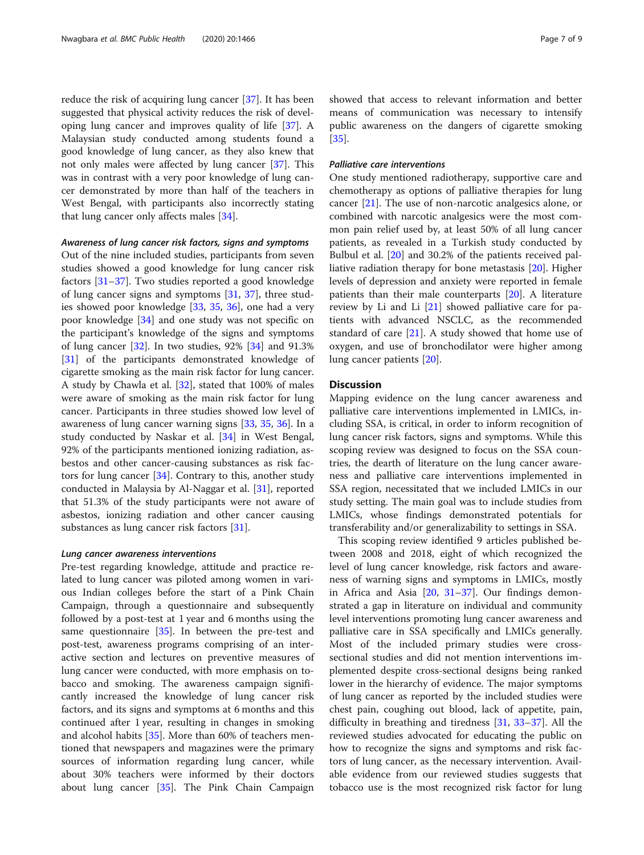reduce the risk of acquiring lung cancer [\[37\]](#page-8-0). It has been suggested that physical activity reduces the risk of developing lung cancer and improves quality of life [[37\]](#page-8-0). A Malaysian study conducted among students found a good knowledge of lung cancer, as they also knew that not only males were affected by lung cancer [\[37\]](#page-8-0). This was in contrast with a very poor knowledge of lung cancer demonstrated by more than half of the teachers in West Bengal, with participants also incorrectly stating that lung cancer only affects males [[34\]](#page-8-0).

#### Awareness of lung cancer risk factors, signs and symptoms

Out of the nine included studies, participants from seven studies showed a good knowledge for lung cancer risk factors [\[31](#page-8-0)–[37](#page-8-0)]. Two studies reported a good knowledge of lung cancer signs and symptoms [[31,](#page-8-0) [37](#page-8-0)], three studies showed poor knowledge [\[33](#page-8-0), [35,](#page-8-0) [36](#page-8-0)], one had a very poor knowledge [\[34\]](#page-8-0) and one study was not specific on the participant's knowledge of the signs and symptoms of lung cancer [[32](#page-8-0)]. In two studies, 92% [\[34](#page-8-0)] and 91.3% [[31\]](#page-8-0) of the participants demonstrated knowledge of cigarette smoking as the main risk factor for lung cancer. A study by Chawla et al. [\[32](#page-8-0)], stated that 100% of males were aware of smoking as the main risk factor for lung cancer. Participants in three studies showed low level of awareness of lung cancer warning signs [[33,](#page-8-0) [35,](#page-8-0) [36\]](#page-8-0). In a study conducted by Naskar et al. [[34](#page-8-0)] in West Bengal, 92% of the participants mentioned ionizing radiation, asbestos and other cancer-causing substances as risk factors for lung cancer [[34](#page-8-0)]. Contrary to this, another study conducted in Malaysia by Al-Naggar et al. [\[31](#page-8-0)], reported that 51.3% of the study participants were not aware of asbestos, ionizing radiation and other cancer causing substances as lung cancer risk factors [\[31](#page-8-0)].

#### Lung cancer awareness interventions

Pre-test regarding knowledge, attitude and practice related to lung cancer was piloted among women in various Indian colleges before the start of a Pink Chain Campaign, through a questionnaire and subsequently followed by a post-test at 1 year and 6 months using the same questionnaire [[35\]](#page-8-0). In between the pre-test and post-test, awareness programs comprising of an interactive section and lectures on preventive measures of lung cancer were conducted, with more emphasis on tobacco and smoking. The awareness campaign significantly increased the knowledge of lung cancer risk factors, and its signs and symptoms at 6 months and this continued after 1 year, resulting in changes in smoking and alcohol habits [\[35](#page-8-0)]. More than 60% of teachers mentioned that newspapers and magazines were the primary sources of information regarding lung cancer, while about 30% teachers were informed by their doctors about lung cancer [[35\]](#page-8-0). The Pink Chain Campaign showed that access to relevant information and better means of communication was necessary to intensify public awareness on the dangers of cigarette smoking [[35\]](#page-8-0).

#### Palliative care interventions

One study mentioned radiotherapy, supportive care and chemotherapy as options of palliative therapies for lung cancer [[21\]](#page-8-0). The use of non-narcotic analgesics alone, or combined with narcotic analgesics were the most common pain relief used by, at least 50% of all lung cancer patients, as revealed in a Turkish study conducted by Bulbul et al. [\[20](#page-8-0)] and 30.2% of the patients received palliative radiation therapy for bone metastasis [[20\]](#page-8-0). Higher levels of depression and anxiety were reported in female patients than their male counterparts [\[20](#page-8-0)]. A literature review by Li and Li [[21\]](#page-8-0) showed palliative care for patients with advanced NSCLC, as the recommended standard of care  $[21]$  $[21]$  $[21]$ . A study showed that home use of oxygen, and use of bronchodilator were higher among lung cancer patients [[20](#page-8-0)].

#### **Discussion**

Mapping evidence on the lung cancer awareness and palliative care interventions implemented in LMICs, including SSA, is critical, in order to inform recognition of lung cancer risk factors, signs and symptoms. While this scoping review was designed to focus on the SSA countries, the dearth of literature on the lung cancer awareness and palliative care interventions implemented in SSA region, necessitated that we included LMICs in our study setting. The main goal was to include studies from LMICs, whose findings demonstrated potentials for transferability and/or generalizability to settings in SSA.

This scoping review identified 9 articles published between 2008 and 2018, eight of which recognized the level of lung cancer knowledge, risk factors and awareness of warning signs and symptoms in LMICs, mostly in Africa and Asia [[20,](#page-8-0) [31](#page-8-0)–[37\]](#page-8-0). Our findings demonstrated a gap in literature on individual and community level interventions promoting lung cancer awareness and palliative care in SSA specifically and LMICs generally. Most of the included primary studies were crosssectional studies and did not mention interventions implemented despite cross-sectional designs being ranked lower in the hierarchy of evidence. The major symptoms of lung cancer as reported by the included studies were chest pain, coughing out blood, lack of appetite, pain, difficulty in breathing and tiredness [[31,](#page-8-0) [33](#page-8-0)–[37](#page-8-0)]. All the reviewed studies advocated for educating the public on how to recognize the signs and symptoms and risk factors of lung cancer, as the necessary intervention. Available evidence from our reviewed studies suggests that tobacco use is the most recognized risk factor for lung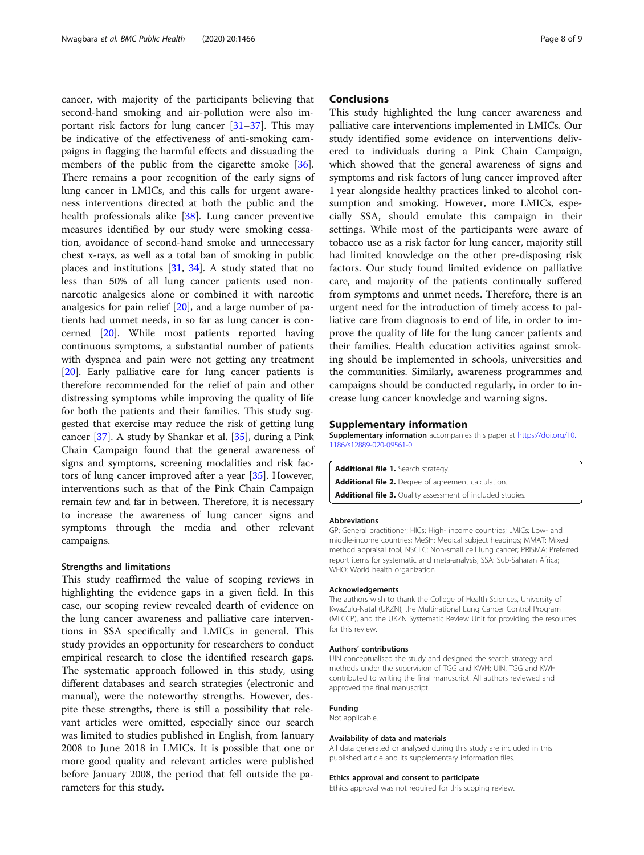<span id="page-7-0"></span>cancer, with majority of the participants believing that second-hand smoking and air-pollution were also important risk factors for lung cancer [[31](#page-8-0)–[37](#page-8-0)]. This may be indicative of the effectiveness of anti-smoking campaigns in flagging the harmful effects and dissuading the members of the public from the cigarette smoke [\[36](#page-8-0)]. There remains a poor recognition of the early signs of lung cancer in LMICs, and this calls for urgent awareness interventions directed at both the public and the health professionals alike [\[38\]](#page-8-0). Lung cancer preventive measures identified by our study were smoking cessation, avoidance of second-hand smoke and unnecessary chest x-rays, as well as a total ban of smoking in public places and institutions [\[31](#page-8-0), [34](#page-8-0)]. A study stated that no less than 50% of all lung cancer patients used nonnarcotic analgesics alone or combined it with narcotic analgesics for pain relief [\[20\]](#page-8-0), and a large number of patients had unmet needs, in so far as lung cancer is concerned [[20](#page-8-0)]. While most patients reported having continuous symptoms, a substantial number of patients with dyspnea and pain were not getting any treatment [[20\]](#page-8-0). Early palliative care for lung cancer patients is therefore recommended for the relief of pain and other distressing symptoms while improving the quality of life for both the patients and their families. This study suggested that exercise may reduce the risk of getting lung cancer [[37](#page-8-0)]. A study by Shankar et al. [[35\]](#page-8-0), during a Pink Chain Campaign found that the general awareness of signs and symptoms, screening modalities and risk factors of lung cancer improved after a year [\[35](#page-8-0)]. However, interventions such as that of the Pink Chain Campaign remain few and far in between. Therefore, it is necessary to increase the awareness of lung cancer signs and symptoms through the media and other relevant campaigns.

#### Strengths and limitations

This study reaffirmed the value of scoping reviews in highlighting the evidence gaps in a given field. In this case, our scoping review revealed dearth of evidence on the lung cancer awareness and palliative care interventions in SSA specifically and LMICs in general. This study provides an opportunity for researchers to conduct empirical research to close the identified research gaps. The systematic approach followed in this study, using different databases and search strategies (electronic and manual), were the noteworthy strengths. However, despite these strengths, there is still a possibility that relevant articles were omitted, especially since our search was limited to studies published in English, from January 2008 to June 2018 in LMICs. It is possible that one or more good quality and relevant articles were published before January 2008, the period that fell outside the parameters for this study.

#### **Conclusions**

This study highlighted the lung cancer awareness and palliative care interventions implemented in LMICs. Our study identified some evidence on interventions delivered to individuals during a Pink Chain Campaign, which showed that the general awareness of signs and symptoms and risk factors of lung cancer improved after 1 year alongside healthy practices linked to alcohol consumption and smoking. However, more LMICs, especially SSA, should emulate this campaign in their settings. While most of the participants were aware of tobacco use as a risk factor for lung cancer, majority still had limited knowledge on the other pre-disposing risk factors. Our study found limited evidence on palliative care, and majority of the patients continually suffered from symptoms and unmet needs. Therefore, there is an urgent need for the introduction of timely access to palliative care from diagnosis to end of life, in order to improve the quality of life for the lung cancer patients and their families. Health education activities against smoking should be implemented in schools, universities and the communities. Similarly, awareness programmes and campaigns should be conducted regularly, in order to increase lung cancer knowledge and warning signs.

#### Supplementary information

Supplementary information accompanies this paper at [https://doi.org/10.](https://doi.org/10.1186/s12889-020-09561-0) [1186/s12889-020-09561-0](https://doi.org/10.1186/s12889-020-09561-0).

Additional file 1. Search strategy. Additional file 2. Degree of agreement calculation. Additional file 3. Quality assessment of included studies.

#### Abbreviations

GP: General practitioner; HICs: High- income countries; LMICs: Low- and middle-income countries; MeSH: Medical subject headings; MMAT: Mixed method appraisal tool; NSCLC: Non-small cell lung cancer; PRISMA: Preferred report items for systematic and meta-analysis; SSA: Sub-Saharan Africa; WHO: World health organization

#### Acknowledgements

The authors wish to thank the College of Health Sciences, University of KwaZulu-Natal (UKZN), the Multinational Lung Cancer Control Program (MLCCP), and the UKZN Systematic Review Unit for providing the resources for this review.

#### Authors' contributions

UIN conceptualised the study and designed the search strategy and methods under the supervision of TGG and KWH; UIN, TGG and KWH contributed to writing the final manuscript. All authors reviewed and approved the final manuscript.

#### Funding

Not applicable.

#### Availability of data and materials

All data generated or analysed during this study are included in this published article and its supplementary information files.

#### Ethics approval and consent to participate

Ethics approval was not required for this scoping review.